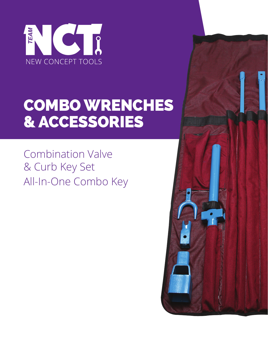

# COMBO WRENCHES & ACCESSORIES

Combination Valve & Curb Key Set All-In-One Combo Key

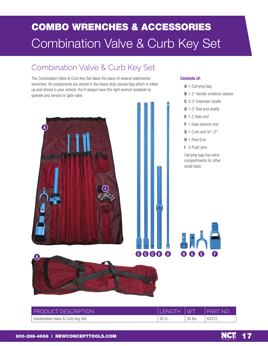## COMBO WRENCHES & ACCESSORIES Combination Valve & Curb Key Set

### Combination Valve & Curb Key Set

The Combination Valve & Curb Key Set takes the place of several waterworks wrenches. All components are stored in the heavy duty canvas bag which is rolled up and stored in your vehicle. You'll always have the right wrench available to operate any service or gate valve.



#### **Consists of:**

**A** 1-Carrying bag **B** 1-2' Handle w/debris cleaner **C** 3-3' Extension shafts **D** 1-3' Rod end shafts **E** 1-2 Hole end **F** 1-Gate wrench end **G** 1-Curb end ¾"–2" **H** 1-Pent End **I** 5-Push pins Carrying bag has extra compartments for other small tools.



| <b>PRODUCT DESCRIPTION</b>       | <b>FNGTH</b> | $\sqrt{V}$ | <b>PART NO</b> |
|----------------------------------|--------------|------------|----------------|
| Combination Valve & Curb Key Set | $'$ 42 in.   | 30 lbs.    | 63212          |